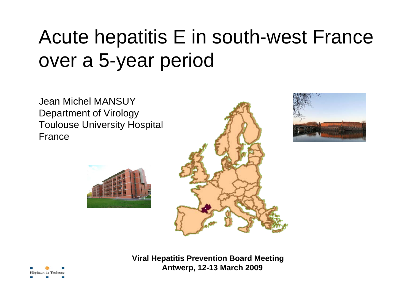Jean Michel MANSUYDepartment of Virology Toulouse University Hospital France









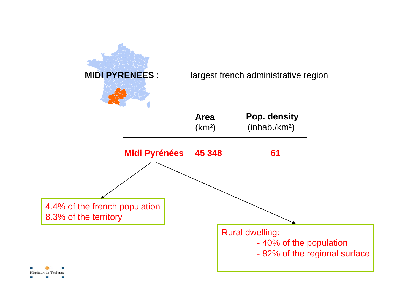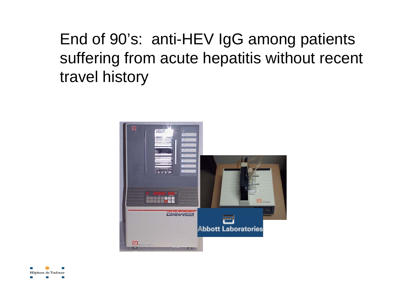End of 90's: anti-HEV IgG among patients suffering from acute hepatitis without recent travel history



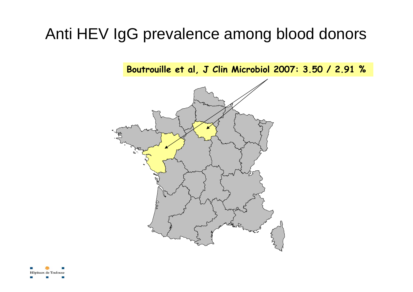**Boutrouille et al, J Clin Microbiol 2007: 3.50 / 2.91 %**



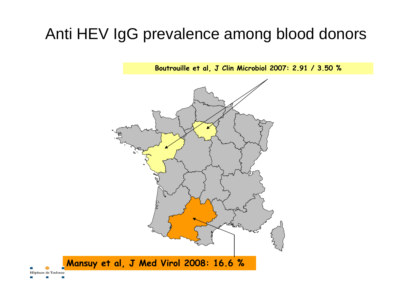**Boutrouille et al, J Clin Microbiol 2007: 2.91 / 3.50 %**

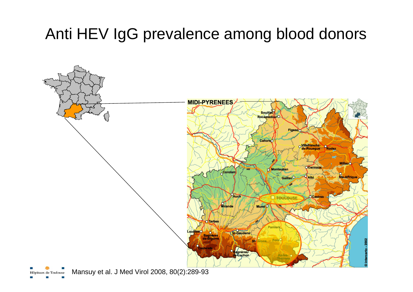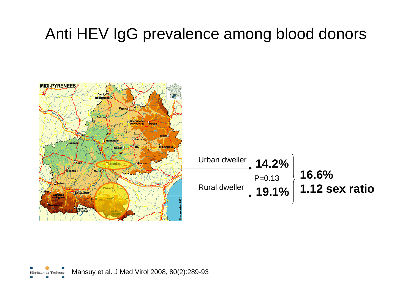

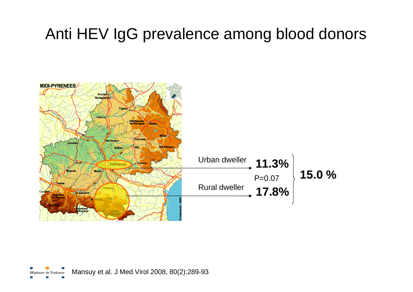

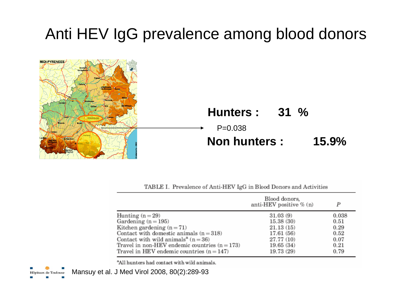

TABLE I. Prevalence of Anti-HEV IgG in Blood Donors and Activities

|                                                 | Blood donors,<br>anti-HEV positive $\%$ (n) | p     |
|-------------------------------------------------|---------------------------------------------|-------|
| Hunting $(n=29)$                                | 31.03(9)                                    | 0.038 |
| Gardening $(n = 195)$                           | 15.38 (30)                                  | 0.51  |
| Kitchen gardening $(n=71)$                      | 21.13(15)                                   | 0.29  |
| Contact with domestic animals $(n = 318)$       | 17.61 (56)                                  | 0.52  |
| Contact with wild animals <sup>a</sup> $(n=36)$ | 27.77 (10)                                  | 0.07  |
| Travel in non-HEV endemic countries $(n = 173)$ | 19.65(34)                                   | 0.21  |
| Travel in HEV endemic countries $(n = 147)$     | 19.73 (29)                                  | 0.79  |

"All hunters had contact with wild animals.

Mansuy et al. J Med Virol 2008, 80(2):289-93Hôpitaux de Toulouse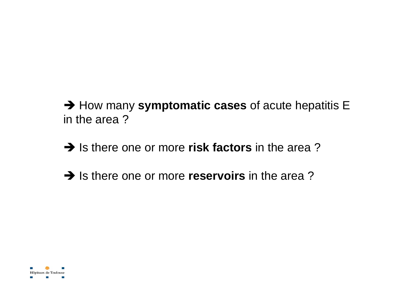$\rightarrow$  How many symptomatic cases of acute hepatitis E in the area ?

 $\rightarrow$  Is there one or more risk factors in the area?

 $\rightarrow$  Is there one or more **reservoirs** in the area?

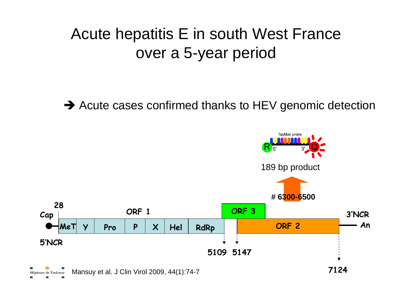$\rightarrow$  Acute cases confirmed thanks to HEV genomic detection

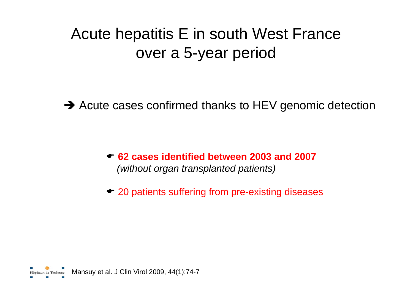$\rightarrow$  Acute cases confirmed thanks to HEV genomic detection

( **62 cases identified between 2003 and 2007** *(without organ transplanted patients)*

 $\bullet$  20 patients suffering from pre-existing diseases

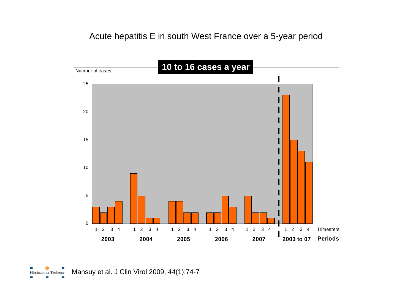

Mansuy et al. J Clin Virol 2009, 44(1):74-7Hôpitaux de Toulouse

**COL**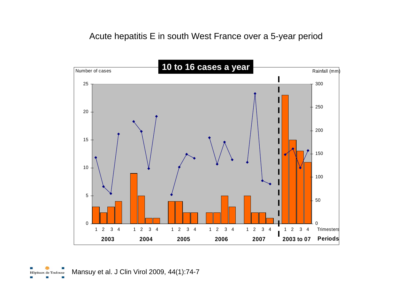

Mansuy et al. J Clin Virol 2009, 44(1):74-7Hôpitaux de Toulouse ш

**COL**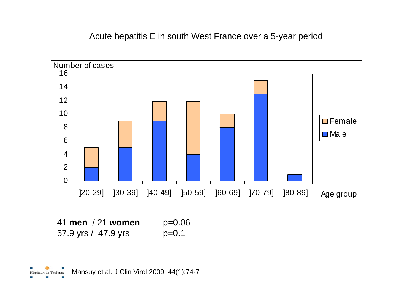

| 41 men / 21 women   | $p=0.06$ |
|---------------------|----------|
| 57.9 yrs / 47.9 yrs | $p=0.1$  |

a a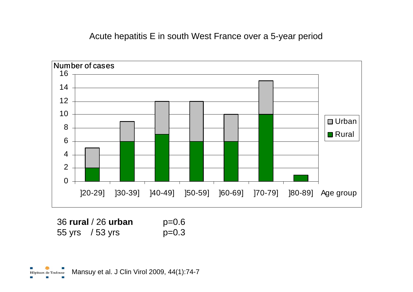

| 36 rural / 26 urban | $p=0.6$ |
|---------------------|---------|
| 55 yrs $/53$ yrs    | $p=0.3$ |

**COL**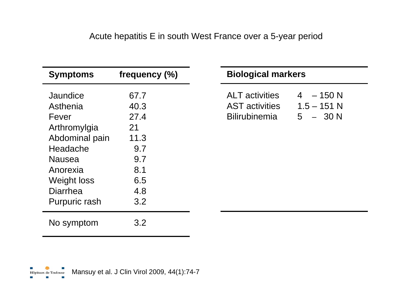| <b>Symptoms</b>      | frequency $(\% )$ |
|----------------------|-------------------|
|                      |                   |
| Jaundice             | 67.7              |
| Asthenia             | 40.3              |
| Fever                | 27.4              |
| Arthromylgia         | 21                |
| Abdominal pain       | 11.3              |
| Headache             | 9.7               |
| Nausea               | 9.7               |
| Anorexia             | 8.1               |
| Weight loss          | 6.5               |
| Diarrhea             | 4.8               |
| <b>Purpuric rash</b> | 3.2               |
| No symptom           | 3.2               |

#### **Biological markers**

| <b>ALT</b> activities | $4 - 150 N$   |
|-----------------------|---------------|
| <b>AST</b> activities | $1.5 - 151$ N |
| <b>Bilirubinemia</b>  | $5 - 30 N$    |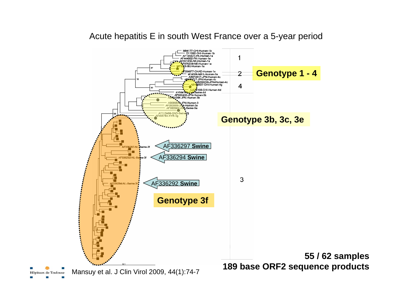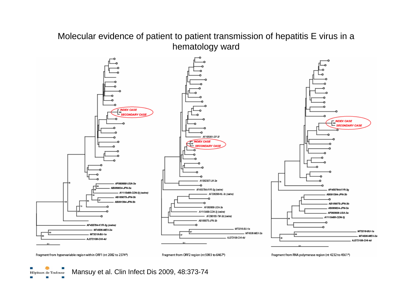#### Molecular evidence of patient to patient transmission of hepatitis E virus in a hematology ward



Mansuy et al. Clin Infect Dis 2009, 48:373-74Hôpitaux de Toulouse

ш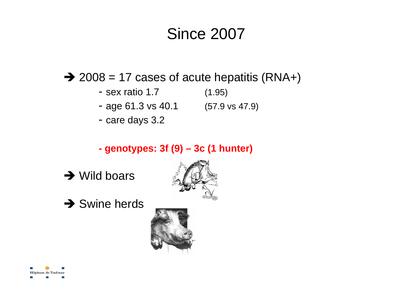### Since 2007

 $\rightarrow$  2008 = 17 cases of acute hepatitis (RNA+)

- sex ratio 1.7 (1.95)
- age 61.3 vs 40.1 (57.9 vs 47.9)
- care days 3.2

### **- genotypes: 3f (9) – 3c (1 hunter)**









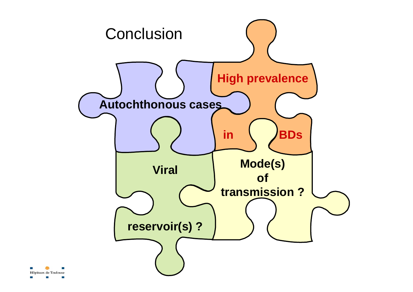